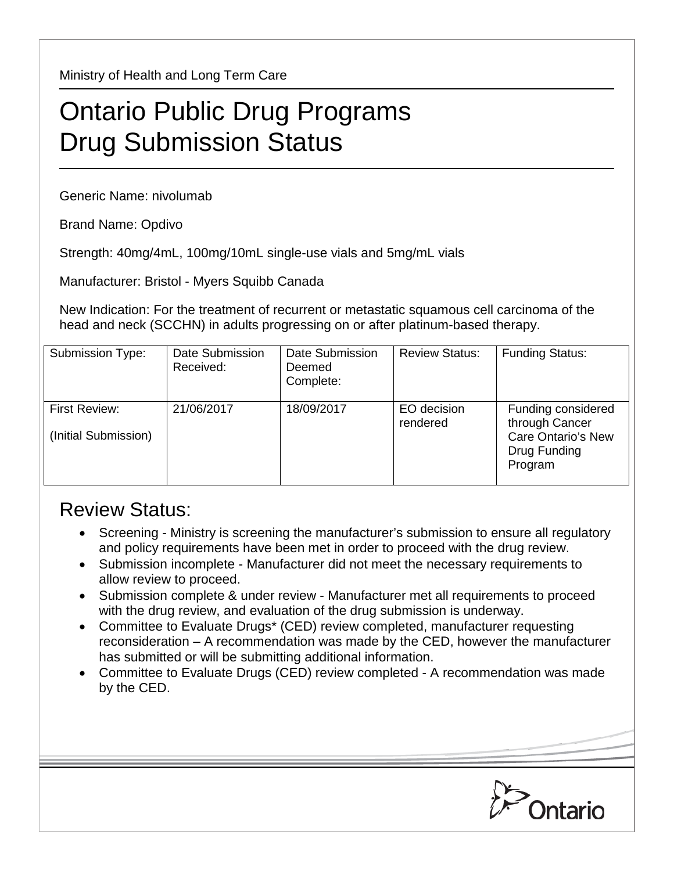Ministry of Health and Long Term Care

## Ontario Public Drug Programs Drug Submission Status

Generic Name: nivolumab

Brand Name: Opdivo

Strength: 40mg/4mL, 100mg/10mL single-use vials and 5mg/mL vials

Manufacturer: Bristol - Myers Squibb Canada

New Indication: For the treatment of recurrent or metastatic squamous cell carcinoma of the head and neck (SCCHN) in adults progressing on or after platinum-based therapy.

| Submission Type:                      | Date Submission<br>Received: | Date Submission<br>Deemed<br>Complete: | <b>Review Status:</b>   | <b>Funding Status:</b>                                                                       |
|---------------------------------------|------------------------------|----------------------------------------|-------------------------|----------------------------------------------------------------------------------------------|
| First Review:<br>(Initial Submission) | 21/06/2017                   | 18/09/2017                             | EO decision<br>rendered | Funding considered<br>through Cancer<br><b>Care Ontario's New</b><br>Drug Funding<br>Program |

## Review Status:

- Screening Ministry is screening the manufacturer's submission to ensure all regulatory and policy requirements have been met in order to proceed with the drug review.
- Submission incomplete Manufacturer did not meet the necessary requirements to allow review to proceed.
- Submission complete & under review Manufacturer met all requirements to proceed with the drug review, and evaluation of the drug submission is underway.
- Committee to Evaluate Drugs\* (CED) review completed, manufacturer requesting reconsideration – A recommendation was made by the CED, however the manufacturer has submitted or will be submitting additional information.
- Committee to Evaluate Drugs (CED) review completed A recommendation was made by the CED.